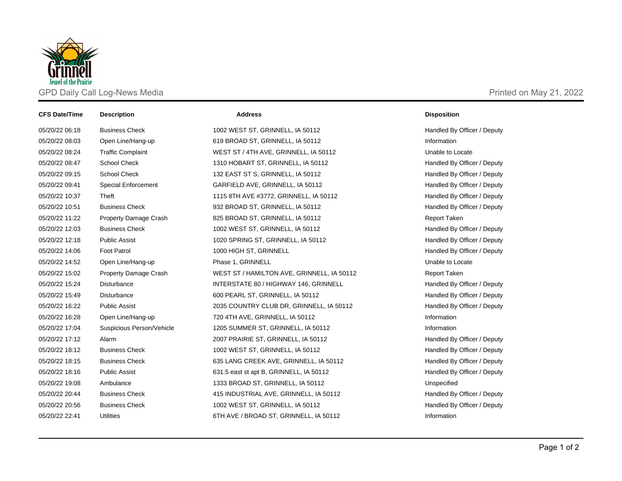

| <b>CFS Date/Time</b> | <b>Description</b>           | <b>Address</b>                             | <b>Disposition</b>          |
|----------------------|------------------------------|--------------------------------------------|-----------------------------|
| 05/20/22 06:18       | <b>Business Check</b>        | 1002 WEST ST, GRINNELL, IA 50112           | Handled By Officer / Deputy |
| 05/20/22 08:03       | Open Line/Hang-up            | 619 BROAD ST, GRINNELL, IA 50112           | Information                 |
| 05/20/22 08:24       | <b>Traffic Complaint</b>     | WEST ST / 4TH AVE, GRINNELL, IA 50112      | Unable to Locate            |
| 05/20/22 08:47       | <b>School Check</b>          | 1310 HOBART ST, GRINNELL, IA 50112         | Handled By Officer / Deputy |
| 05/20/22 09:15       | <b>School Check</b>          | 132 EAST ST S, GRINNELL, IA 50112          | Handled By Officer / Deputy |
| 05/20/22 09:41       | <b>Special Enforcement</b>   | GARFIELD AVE, GRINNELL, IA 50112           | Handled By Officer / Deputy |
| 05/20/22 10:37       | Theft                        | 1115 8TH AVE #3772, GRINNELL, IA 50112     | Handled By Officer / Deputy |
| 05/20/22 10:51       | <b>Business Check</b>        | 932 BROAD ST, GRINNELL, IA 50112           | Handled By Officer / Deputy |
| 05/20/22 11:22       | Property Damage Crash        | 825 BROAD ST, GRINNELL, IA 50112           | Report Taken                |
| 05/20/22 12:03       | <b>Business Check</b>        | 1002 WEST ST, GRINNELL, IA 50112           | Handled By Officer / Deputy |
| 05/20/22 12:18       | <b>Public Assist</b>         | 1020 SPRING ST, GRINNELL, IA 50112         | Handled By Officer / Deputy |
| 05/20/22 14:06       | <b>Foot Patrol</b>           | 1000 HIGH ST, GRINNELL                     | Handled By Officer / Deputy |
| 05/20/22 14:52       | Open Line/Hang-up            | Phase 1, GRINNELL                          | Unable to Locate            |
| 05/20/22 15:02       | <b>Property Damage Crash</b> | WEST ST / HAMILTON AVE, GRINNELL, IA 50112 | <b>Report Taken</b>         |
| 05/20/22 15:24       | Disturbance                  | INTERSTATE 80 / HIGHWAY 146, GRINNELL      | Handled By Officer / Deputy |
| 05/20/22 15:49       | Disturbance                  | 600 PEARL ST, GRINNELL, IA 50112           | Handled By Officer / Deputy |
| 05/20/22 16:22       | <b>Public Assist</b>         | 2035 COUNTRY CLUB DR, GRINNELL, IA 50112   | Handled By Officer / Deputy |
| 05/20/22 16:28       | Open Line/Hang-up            | 720 4TH AVE, GRINNELL, IA 50112            | Information                 |
| 05/20/22 17:04       | Suspicious Person/Vehicle    | 1205 SUMMER ST, GRINNELL, IA 50112         | Information                 |
| 05/20/22 17:12       | Alarm                        | 2007 PRAIRIE ST, GRINNELL, IA 50112        | Handled By Officer / Deputy |
| 05/20/22 18:12       | <b>Business Check</b>        | 1002 WEST ST, GRINNELL, IA 50112           | Handled By Officer / Deputy |
| 05/20/22 18:15       | <b>Business Check</b>        | 635 LANG CREEK AVE, GRINNELL, IA 50112     | Handled By Officer / Deputy |
| 05/20/22 18:16       | <b>Public Assist</b>         | 631.5 east st apt B, GRINNELL, IA 50112    | Handled By Officer / Deputy |
| 05/20/22 19:08       | Ambulance                    | 1333 BROAD ST, GRINNELL, IA 50112          | Unspecified                 |
| 05/20/22 20:44       | <b>Business Check</b>        | 415 INDUSTRIAL AVE, GRINNELL, IA 50112     | Handled By Officer / Deputy |
| 05/20/22 20:56       | <b>Business Check</b>        | 1002 WEST ST, GRINNELL, IA 50112           | Handled By Officer / Deputy |
| 05/20/22 22:41       | <b>Utilities</b>             | 6TH AVE / BROAD ST, GRINNELL, IA 50112     | Information                 |